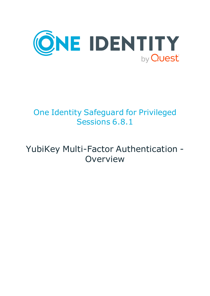

# One Identity Safeguard for Privileged Sessions 6.8.1

# YubiKey Multi-Factor Authentication - Overview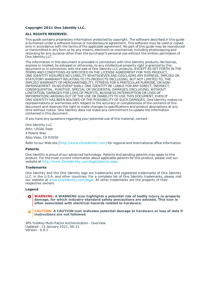#### **Copyright 2021 One Identity LLC.**

#### **ALL RIGHTS RESERVED.**

This guide contains proprietary information protected by copyright. The software described in this guide is furnished under a software license or nondisclosure agreement. This software may be used or copied only in accordance with the terms of the applicable agreement. No part of this guide may be reproduced or transmitted in any form or by any means, electronic or mechanical, including photocopying and recording for any purpose other than the purchaser's personal use without the written permission of One Identity LLC .

The information in this document is provided in connection with One Identity products. No license, express or implied, by estoppel or otherwise, to any intellectual property right is granted by this document or in connection with the sale of One Identity LLC products. EXCEPT AS SET FORTH IN THE TERMS AND CONDITIONS AS SPECIFIED IN THE LICENSE AGREEMENT FOR THIS PRODUCT, ONE IDENTITY ASSUMES NO LIABILITY WHATSOEVER AND DISCLAIMS ANY EXPRESS, IMPLIED OR STATUTORY WARRANTY RELATING TO ITS PRODUCTS INCLUDING, BUT NOT LIMITED TO, THE IMPLIED WARRANTY OF MERCHANTABILITY, FITNESS FOR A PARTICULAR PURPOSE, OR NON-INFRINGEMENT. IN NO EVENT SHALL ONE IDENTITY BE LIABLE FOR ANY DIRECT, INDIRECT, CONSEQUENTIAL, PUNITIVE, SPECIAL OR INCIDENTAL DAMAGES (INCLUDING, WITHOUT LIMITATION, DAMAGES FOR LOSS OF PROFITS, BUSINESS INTERRUPTION OR LOSS OF INFORMATION) ARISING OUT OF THE USE OR INABILITY TO USE THIS DOCUMENT, EVEN IF ONE IDENTITY HAS BEEN ADVISED OF THE POSSIBILITY OF SUCH DAMAGES. One Identity makes no representations or warranties with respect to the accuracy or completeness of the contents of this document and reserves the right to make changes to specifications and product descriptions at any time without notice. One Identity does not make any commitment to update the information contained in this document.

If you have any questions regarding your potential use of this material, contact:

One Identity LLC. Attn: LEGAL Dept 4 Polaris Way Aliso Viejo, CA 92656

Refer to our Web site ([http://www.OneIdentity.com](http://www.oneidentity.com/)) for regional and international office information.

#### **Patents**

One Identity is proud of our advanced technology. Patents and pending patents may apply to this product. For the most current information about applicable patents for this product, please visit our website at [http://www.OneIdentity.com/legal/patents.aspx](http://www.oneidentity.com/legal/patents.aspx).

#### **Trademarks**

One Identity and the One Identity logo are trademarks and registered trademarks of One Identity LLC. in the U.S.A. and other countries. For a complete list of One Identity trademarks, please visit our website at [www.OneIdentity.com/legal](http://www.oneidentity.com/legal). All other trademarks are the property of their respective owners.

#### **Legend**

**WARNING: A WARNING icon highlights a potential risk of bodily injury or property damage, for which industry-standard safety precautions are advised. This icon is often associated with electrical hazards related to hardware.**

**CAUTION: A CAUTION icon indicates potential damage to hardware or loss of data if** A **instructions are not followed.**

SPS YubiKey Multi-Factor Authentication - Overview Updated - 15 January 2021, 06:21 Version - 6.8.1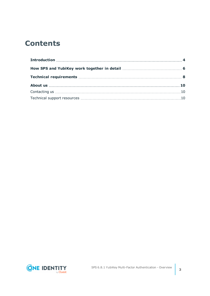## **Contents**

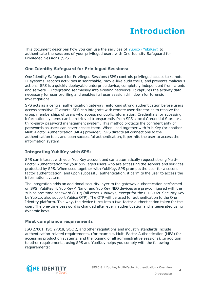## **Introduction**

<span id="page-3-0"></span>This document describes how you can use the services of Yubico [\(YubiKey\)](https://www.yubico.com/) to authenticate the sessions of your privileged users with One Identity Safeguard for Privileged Sessions (SPS).

### **One Identity Safeguard for Privileged Sessions:**

One Identity Safeguard for Privileged Sessions (SPS) controls privileged access to remote IT systems, records activities in searchable, movie-like audit trails, and prevents malicious actions. SPS is a quickly deployable enterprise device, completely independent from clients and servers — integrating seamlessly into existing networks. It captures the activity data necessary for user profiling and enables full user session drill down for forensic investigations.

SPS acts as a central authentication gateway, enforcing strong authentication before users access sensitive IT assets. SPS can integrate with remote user directories to resolve the group memberships of users who access nonpublic information. Credentials for accessing information systems can be retrieved transparently from SPS's local Credential Store or a third-party password management system. This method protects the confidentiality of passwords as users can never access them. When used together with YubiKey (or another Multi-Factor Authentication (MFA) provider), SPS directs all connections to the authentication tool, and upon successful authentication, it permits the user to access the information system.

### **Integrating YubiKey with SPS:**

SPS can interact with your YubiKey account and can automatically request strong Multi-Factor Authentication for your privileged users who are accessing the servers and services protected by SPS. When used together with YubiKey, SPS prompts the user for a second factor authentication, and upon successful authentication, it permits the user to access the information system.

The integration adds an additional security layer to the gateway authentication performed on SPS. YubiKey 4, YubiKey 4 Nano, and YubiKey NEO devices are pre-configured with the Yubico one-time password (OTP) (all other YubiKeys, except for the FIDO U2F Security Key by Yubico, also support Yubico OTP). The OTP will be used for authentication to the One Identity platform. This way, the device turns into a two-factor authentication token for the user. The one-time password is changed after every authentication and is generated using dynamic keys.

### **Meet compliance requirements**

ISO 27001, ISO 27018, SOC 2, and other regulations and industry standards include authentication-related requirements, (for example, Multi-Factor Authentication (MFA) for accessing production systems, and the logging of all administrative sessions). In addition to other requirements, using SPS and YubiKey helps you comply with the following requirements:

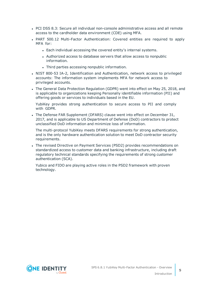- PCI DSS 8.3: Secure all individual non-console administrative access and all remote access to the cardholder data environment (CDE) using MFA.
- PART 500.12 Multi-Factor Authentication: Covered entities are required to apply MFA for:
	- Each individual accessing the covered entity's internal systems.
	- Authorized access to database servers that allow access to nonpublic information.
	- Third parties accessing nonpublic information.
- NIST 800-53 IA-2, Identification and Authentication, network access to privileged accounts: The information system implements MFA for network access to privileged accounts.
- The General Data Protection Regulation (GDPR) went into effect on May 25, 2018, and is applicable to organizations keeping Personally identifiable information (PII) and offering goods or services to individuals based in the EU.

YubiKey provides strong authentication to secure access to PII and comply with GDPR.

• The Defense FAR Supplement (DFARS) clause went into effect on December 31, 2017, and is applicable to US Department of Defense (DoD) contractors to protect unclassified DoD information and minimize loss of information.

The multi-protocol YubiKey meets DFARS requirements for strong authentication, and is the only hardware authentication solution to meet DoD contractor security requirements.

• The revised Directive on Payment Services (PSD2) provides recommendations on standardized access to customer data and banking infrastructure, including draft regulatory technical standards specifying the requirements of strong customer authentication (SCA).

Yubico and FIDO are playing active roles in the PSD2 framework with proven technology.

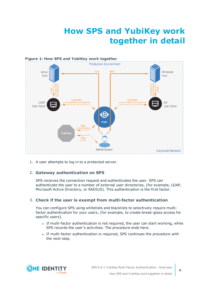## **How SPS and YubiKey work together in detail**

<span id="page-5-0"></span>

1. A user attempts to log in to a protected server.

### 2. **Gateway authentication on SPS**

SPS receives the connection request and authenticates the user. SPS can authenticate the user to a number of external user directories, (for example, LDAP, Microsoft Active Directory, or RADIUS). This authentication is the first factor.

#### 3. **Check if the user is exempt from multi-factor authentication**

You can configure SPS using whitelists and blacklists to selectively require multifactor authentication for your users, (for example, to create break-glass access for specific users).

- If multi-factor authentication is not required, the user can start working, while SPS records the user's activities. The procedure ends here.
- If multi-factor authentication is required, SPS continues the procedure with the next step.

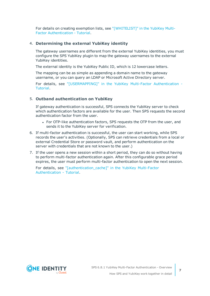For details on creating exemption lists, see ["\[WHITELIST\]"](https://support.oneidentity.com/technical-documents/safeguard-for-privileged-sessions/6.8.1/yubikey-multi-factor-authentication---tutorial/[whitelist]/) in the YubiKey Multi-Factor [Authentication](https://support.oneidentity.com/technical-documents/safeguard-for-privileged-sessions/6.8.1/yubikey-multi-factor-authentication---tutorial/[whitelist]/) - Tutorial.

#### 4. **Determining the external YubiKey identity**

The gateway usernames are different from the external YubiKey identities, you must configure the SPS YubiKey plugin to map the gateway usernames to the external YubiKey identities.

The external identity is the YubiKey Public ID, which is 12 lowercase letters.

The mapping can be as simple as appending a domain name to the gateway username, or you can query an LDAP or Microsoft Active Directory server.

For details, see ["\[USERMAPPING\]"](https://support.oneidentity.com/technical-documents/safeguard-for-privileged-sessions/6.8.1/yubikey-multi-factor-authentication---tutorial/[usermapping]/) in the YubiKey Multi-Factor Authentication - [Tutorial.](https://support.oneidentity.com/technical-documents/safeguard-for-privileged-sessions/6.8.1/yubikey-multi-factor-authentication---tutorial/[usermapping]/)

#### 5. **Outband authentication on YubiKey**

If gateway authentication is successful, SPS connects the YubiKey server to check which authentication factors are available for the user. Then SPS requests the second authentication factor from the user.

- For OTP-like authentication factors, SPS requests the OTP from the user, and sends it to the YubiKey server for verification.
- 6. If multi-factor authentication is successful, the user can start working, while SPS records the user's activities. (Optionally, SPS can retrieve credentials from a local or external Credential Store or password vault, and perform authentication on the server with credentials that are not known to the user.)
- 7. If the user opens a new session within a short period, they can do so without having to perform multi-factor authentication again. After this configurable grace period expires, the user must perform multi-factor authentication to open the next session.

For details, see ["\[authentication\\_cache\]"](https://support.oneidentity.com/technical-documents/safeguard-for-privileged-sessions/6.8.1/yubikey-multi-factor-authentication---tutorial/[authentication_cache]/) in the YubiKey Multi-Factor [Authentication](https://support.oneidentity.com/technical-documents/safeguard-for-privileged-sessions/6.8.1/yubikey-multi-factor-authentication---tutorial/[authentication_cache]/) - Tutorial.

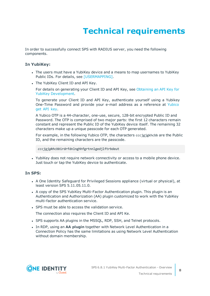# **Technical requirements**

<span id="page-7-0"></span>In order to successfully connect SPS with RADIUS server, you need the following components.

#### **In YubiKey:**

- The users must have a YubiKey device and a means to map usernames to YubiKey Public IDs. For details, see [USERMAPPING].
- The YubiKey Client ID and API Key.

For details on generating your Client ID and API Key, see [Obtaining](https://support.yubico.com/hc/en-us/articles/360013717560-Obtaining-an-API-Key-for-YubiKey-Development) an API Key for YubiKey [Development](https://support.yubico.com/hc/en-us/articles/360013717560-Obtaining-an-API-Key-for-YubiKey-Development).

To generate your Client ID and API Key, authenticate yourself using a Yubikey One-Time Password and provide your e-mail address as a reference at [Yubico](https://upgrade.yubico.com/getapikey/) get API [key](https://upgrade.yubico.com/getapikey/).

A Yubico OTP is a 44-character, one-use, secure, 128-bit encrypted Public ID and Password. The OTP is comprised of two major parts: the first 12 characters remain constant and represent the Public ID of the YubiKey device itself. The remaining 32 characters make up a unique passcode for each OTP generated.

For example, in the following Yubico OTP, the characters cccjgjgkhcbb are the Public ID, and the remaining characters are the passcode.

*cccjgjgkhcbb*irdrfdnlnghhfgrtnnlgedjlftrbdeut

• YubiKey does not require network connectivity or access to a mobile phone device. Just touch or tap the YubiKey device to authenticate.

#### **In SPS:**

- A One Identity Safeguard for Privileged Sessions appliance (virtual or physical), at least version SPS 5.11.05.11.0.
- A copy of the SPS YubiKey Multi-Factor Authentication plugin. This plugin is an Authentication and Authorization (AA) plugin customized to work with the YubiKey multi-factor authentication service.
- SPS must be able to access the validation service.

The connection also requires the Client ID and API Ke.

- SPS supports AA plugins in the MSSQL, RDP, SSH, and Telnet protocols.
- **In RDP, using an AA plugin together with Network Level Authentication in a** Connection Policy has the same limitations as using Network Level Authentication without domain membership.

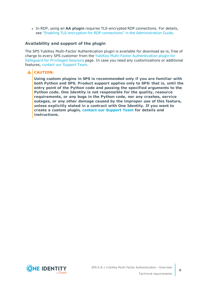**In RDP, using an AA plugin requires TLS-encrypted RDP connections. For details,** see "Enabling [TLS-encryption](https://support.oneidentity.com/technical-documents/safeguard-for-privileged-sessions/6.8.1/administration-guide/rdp-specific-settings/enabling-tls-encryption-for-rdp-connections/) for RDP connections" in the Administration Guide.

#### **Availability and support of the plugin**

The SPS YubiKey Multi-Factor Authentication plugin is available for download as-is, free of charge to every SPS customer from the YubiKey Multi-Factor [Authentication](https://github.com/OneIdentity/safeguard-sessions-plugin-yubikey-mfa/releases) plugin for [Safeguard](https://github.com/OneIdentity/safeguard-sessions-plugin-yubikey-mfa/releases) for Privileged Sessions page. In case you need any customizations or additional features, contact our [Support](https://support.oneidentity.com/one-identity-safeguard-for-privileged-sessions) Team.

### **A** CAUTION:

**Using custom plugins in SPS is recommended only if you are familiar with both Python and SPS. Product support applies only to SPS: that is, until the entry point of the Python code and passing the specified arguments to the Python code. One Identity is not responsible for the quality, resource requirements, or any bugs in the Python code, nor any crashes, service outages, or any other damage caused by the improper use of this feature, unless explicitly stated in a contract with One Identity. If you want to create a custom plugin, contact our [Support](https://support.oneidentity.com/one-identity-safeguard-for-privileged-sessions) Team for details and instructions.**